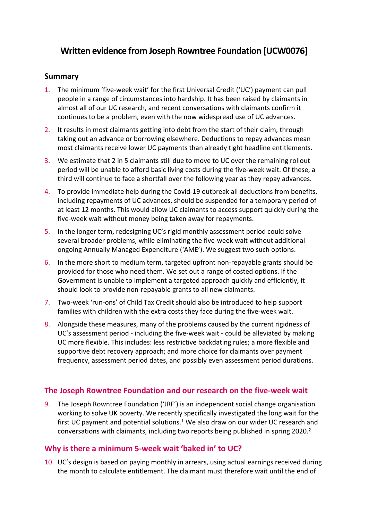# **Written evidence from Joseph Rowntree Foundation [UCW0076]**

## **Summary**

- 1. The minimum 'five-week wait' for the first Universal Credit ('UC') payment can pull people in a range of circumstances into hardship. It has been raised by claimants in almost all of our UC research, and recent conversations with claimants confirm it continues to be a problem, even with the now widespread use of UC advances.
- 2. It results in most claimants getting into debt from the start of their claim, through taking out an advance or borrowing elsewhere. Deductions to repay advances mean most claimants receive lower UC payments than already tight headline entitlements.
- 3. We estimate that 2 in 5 claimants still due to move to UC over the remaining rollout period will be unable to afford basic living costs during the five-week wait. Of these, a third will continue to face a shortfall over the following year as they repay advances.
- 4. To provide immediate help during the Covid-19 outbreak all deductions from benefits, including repayments of UC advances, should be suspended for a temporary period of at least 12 months. This would allow UC claimants to access support quickly during the five-week wait without money being taken away for repayments.
- 5. In the longer term, redesigning UC's rigid monthly assessment period could solve several broader problems, while eliminating the five-week wait without additional ongoing Annually Managed Expenditure ('AME'). We suggest two such options.
- 6. In the more short to medium term, targeted upfront non-repayable grants should be provided for those who need them. We set out a range of costed options. If the Government is unable to implement a targeted approach quickly and efficiently, it should look to provide non-repayable grants to all new claimants.
- 7. Two-week 'run-ons' of Child Tax Credit should also be introduced to help support families with children with the extra costs they face during the five-week wait.
- 8. Alongside these measures, many of the problems caused by the current rigidness of UC's assessment period - including the five-week wait - could be alleviated by making UC more flexible. This includes: less restrictive backdating rules; a more flexible and supportive debt recovery approach; and more choice for claimants over payment frequency, assessment period dates, and possibly even assessment period durations.

# **The Joseph Rowntree Foundation and our research on the five-week wait**

9. The Joseph Rowntree Foundation ('JRF') is an independent social change organisation working to solve UK poverty. We recently specifically investigated the long wait for the first UC payment and potential solutions.<sup>1</sup> We also draw on our wider UC research and conversations with claimants, including two reports being published in spring 2020.<sup>2</sup>

# **Why is there a minimum 5-week wait 'baked in' to UC?**

10. UC's design is based on paying monthly in arrears, using actual earnings received during the month to calculate entitlement. The claimant must therefore wait until the end of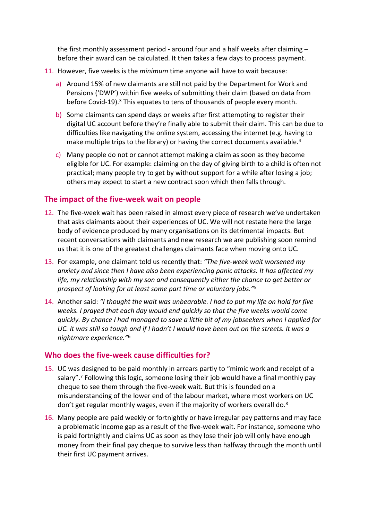the first monthly assessment period - around four and a half weeks after claiming before their award can be calculated. It then takes a few days to process payment.

- 11. However, five weeks is the *minimum* time anyone will have to wait because:
	- a) Around 15% of new claimants are still not paid by the Department for Work and Pensions ('DWP') within five weeks of submitting their claim (based on data from before Covid-19).<sup>3</sup> This equates to tens of thousands of people every month.
	- b) Some claimants can spend days or weeks after first attempting to register their digital UC account before they're finally able to submit their claim. This can be due to difficulties like navigating the online system, accessing the internet (e.g. having to make multiple trips to the library) or having the correct documents available.<sup>4</sup>
	- c) Many people do not or cannot attempt making a claim as soon as they become eligible for UC. For example: claiming on the day of giving birth to a child is often not practical; many people try to get by without support for a while after losing a job; others may expect to start a new contract soon which then falls through.

# **The impact of the five-week wait on people**

- 12. The five-week wait has been raised in almost every piece of research we've undertaken that asks claimants about their experiences of UC. We will not restate here the large body of evidence produced by many organisations on its detrimental impacts. But recent conversations with claimants and new research we are publishing soon remind us that it is one of the greatest challenges claimants face when moving onto UC.
- 13. For example, one claimant told us recently that: *"The five-week wait worsened my anxiety and since then I have also been experiencing panic attacks. It has affected my life, my relationship with my son and consequently either the chance to get better or prospect of looking for at least some part time or voluntary jobs."*<sup>5</sup>
- 14. Another said: *"I thought the wait was unbearable. I had to put my life on hold for five weeks. I prayed that each day would end quickly so that the five weeks would come quickly. By chance I had managed to save a little bit of my jobseekers when I applied for* UC. It was still so tough and if I hadn't I would have been out on the streets. It was a *nightmare experience."*<sup>6</sup>

# **Who does the five-week cause difficulties for?**

- 15. UC was designed to be paid monthly in arrears partly to "mimic work and receipt of a salary".<sup>7</sup> Following this logic, someone losing their job would have a final monthly pay cheque to see them through the five-week wait. But this is founded on a misunderstanding of the lower end of the labour market, where most workers on UC don't get regular monthly wages, even if the majority of workers overall do.<sup>8</sup>
- 16. Many people are paid weekly or fortnightly or have irregular pay patterns and may face a problematic income gap as a result of the five-week wait. For instance, someone who is paid fortnightly and claims UC as soon as they lose their job will only have enough money from their final pay cheque to survive less than halfway through the month until their first UC payment arrives.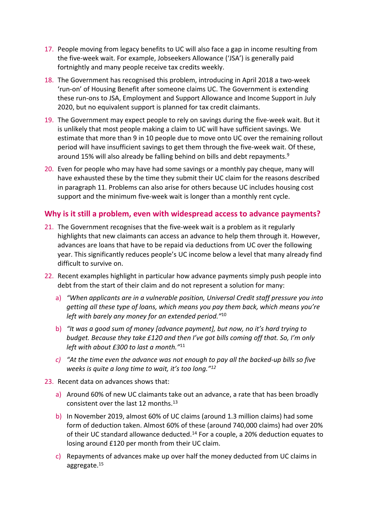- 17. People moving from legacy benefits to UC will also face a gap in income resulting from the five-week wait. For example, Jobseekers Allowance ('JSA') is generally paid fortnightly and many people receive tax credits weekly.
- 18. The Government has recognised this problem, introducing in April 2018 a two-week 'run-on' of Housing Benefit after someone claims UC. The Government is extending these run-ons to JSA, Employment and Support Allowance and Income Support in July 2020, but no equivalent support is planned for tax credit claimants.
- 19. The Government may expect people to rely on savings during the five-week wait. But it is unlikely that most people making a claim to UC will have sufficient savings. We estimate that more than 9 in 10 people due to move onto UC over the remaining rollout period will have insufficient savings to get them through the five-week wait. Of these, around 15% will also already be falling behind on bills and debt repayments.<sup>9</sup>
- 20. Even for people who may have had some savings or a monthly pay cheque, many will have exhausted these by the time they submit their UC claim for the reasons described in paragraph 11. Problems can also arise for others because UC includes housing cost support and the minimum five-week wait is longer than a monthly rent cycle.

## **Why is it still a problem, even with widespread access to advance payments?**

- 21. The Government recognises that the five-week wait is a problem as it regularly highlights that new claimants can access an advance to help them through it. However, advances are loans that have to be repaid via deductions from UC over the following year. This significantly reduces people's UC income below a level that many already find difficult to survive on.
- 22. Recent examples highlight in particular how advance payments simply push people into debt from the start of their claim and do not represent a solution for many:
	- a) *"When applicants are in a vulnerable position, Universal Credit staff pressure you into getting all these type of loans, which means you pay them back, which means you're left with barely any money for an extended period."*<sup>10</sup>
	- b) *"It was a good sum of money [advance payment], but now, no it's hard trying to budget. Because they take £120 and then I've got bills coming off that. So, I'm only left with about £300 to last a month."*<sup>11</sup>
	- *c) "At the time even the advance was not enough to pay all the backed-up bills so five weeks is quite a long time to wait, it's too long."<sup>12</sup>*
- 23. Recent data on advances shows that:
	- a) Around 60% of new UC claimants take out an advance, a rate that has been broadly consistent over the last 12 months.<sup>13</sup>
	- b) In November 2019, almost 60% of UC claims (around 1.3 million claims) had some form of deduction taken. Almost 60% of these (around 740,000 claims) had over 20% of their UC standard allowance deducted.<sup>14</sup> For a couple, a 20% deduction equates to losing around £120 per month from their UC claim.
	- c) Repayments of advances make up over half the money deducted from UC claims in aggregate.15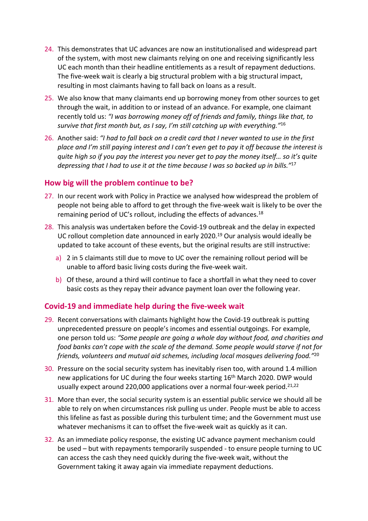- 24. This demonstrates that UC advances are now an institutionalised and widespread part of the system, with most new claimants relying on one and receiving significantly less UC each month than their headline entitlements as a result of repayment deductions. The five-week wait is clearly a big structural problem with a big structural impact, resulting in most claimants having to fall back on loans as a result.
- 25. We also know that many claimants end up borrowing money from other sources to get through the wait, in addition to or instead of an advance. For example, one claimant recently told us: *"I was borrowing money off of friends and family, things like that, to survive that first month but, as I say, I'm still catching up with everything."*<sup>16</sup>
- 26. Another said: *"I had to fall back on a credit card that I never wanted to use in the first* place and I'm still paying interest and I can't even get to pay it off because the interest is *quite high so if you pay the interest you never get to pay the money itself… so it's quite depressing that I had to use it at the time because I was so backed up in bills."*<sup>17</sup>

## **How big will the problem continue to be?**

- 27. In our recent work with Policy in Practice we analysed how widespread the problem of people not being able to afford to get through the five-week wait is likely to be over the remaining period of UC's rollout, including the effects of advances.<sup>18</sup>
- 28. This analysis was undertaken before the Covid-19 outbreak and the delay in expected UC rollout completion date announced in early 2020.<sup>19</sup> Our analysis would ideally be updated to take account of these events, but the original results are still instructive:
	- a) 2 in 5 claimants still due to move to UC over the remaining rollout period will be unable to afford basic living costs during the five-week wait.
	- b) Of these, around a third will continue to face a shortfall in what they need to cover basic costs as they repay their advance payment loan over the following year.

# **Covid-19 and immediate help during the five-week wait**

- 29. Recent conversations with claimants highlight how the Covid-19 outbreak is putting unprecedented pressure on people's incomes and essential outgoings. For example, one person told us: *"Some people are going a whole day without food, and charities and food banks can't cope with the scale of the demand. Some people would starve if not for friends, volunteers and mutual aid schemes, including local mosques delivering food."*<sup>20</sup>
- 30. Pressure on the social security system has inevitably risen too, with around 1.4 million new applications for UC during the four weeks starting 16<sup>th</sup> March 2020. DWP would usually expect around 220,000 applications over a normal four-week period.<sup>21,22</sup>
- 31. More than ever, the social security system is an essential public service we should all be able to rely on when circumstances risk pulling us under. People must be able to access this lifeline as fast as possible during this turbulent time; and the Government must use whatever mechanisms it can to offset the five-week wait as quickly as it can.
- 32. As an immediate policy response, the existing UC advance payment mechanism could be used – but with repayments temporarily suspended - to ensure people turning to UC can access the cash they need quickly during the five-week wait, without the Government taking it away again via immediate repayment deductions.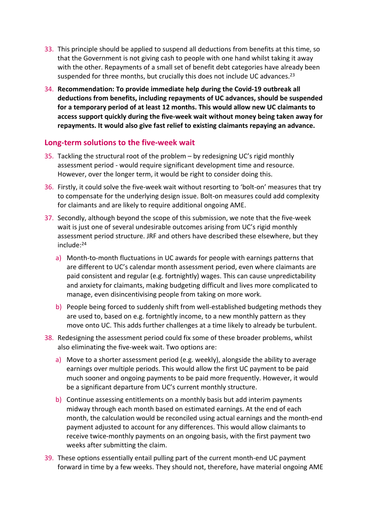- 33. This principle should be applied to suspend all deductions from benefits at this time, so that the Government is not giving cash to people with one hand whilst taking it away with the other. Repayments of a small set of benefit debt categories have already been suspended for three months, but crucially this does not include UC advances.<sup>23</sup>
- 34. **Recommendation: To provide immediate help during the Covid-19 outbreak all deductions from benefits, including repayments of UC advances, should be suspended for a temporary period of at least 12 months. This would allow new UC claimants to access support quickly during the five-week wait without money being taken away for repayments. It would also give fast relief to existing claimants repaying an advance.**

## **Long-term solutions to the five-week wait**

- 35. Tackling the structural root of the problem by redesigning UC's rigid monthly assessment period - would require significant development time and resource. However, over the longer term, it would be right to consider doing this.
- 36. Firstly, it could solve the five-week wait without resorting to 'bolt-on' measures that try to compensate for the underlying design issue. Bolt-on measures could add complexity for claimants and are likely to require additional ongoing AME.
- 37. Secondly, although beyond the scope of this submission, we note that the five-week wait is just one of several undesirable outcomes arising from UC's rigid monthly assessment period structure. JRF and others have described these elsewhere, but they include:<sup>24</sup>
	- a) Month-to-month fluctuations in UC awards for people with earnings patterns that are different to UC's calendar month assessment period, even where claimants are paid consistent and regular (e.g. fortnightly) wages. This can cause unpredictability and anxiety for claimants, making budgeting difficult and lives more complicated to manage, even disincentivising people from taking on more work.
	- b) People being forced to suddenly shift from well-established budgeting methods they are used to, based on e.g. fortnightly income, to a new monthly pattern as they move onto UC. This adds further challenges at a time likely to already be turbulent.
- 38. Redesigning the assessment period could fix some of these broader problems, whilst also eliminating the five-week wait. Two options are:
	- a) Move to a shorter assessment period (e.g. weekly), alongside the ability to average earnings over multiple periods. This would allow the first UC payment to be paid much sooner and ongoing payments to be paid more frequently. However, it would be a significant departure from UC's current monthly structure.
	- b) Continue assessing entitlements on a monthly basis but add interim payments midway through each month based on estimated earnings. At the end of each month, the calculation would be reconciled using actual earnings and the month-end payment adjusted to account for any differences. This would allow claimants to receive twice-monthly payments on an ongoing basis, with the first payment two weeks after submitting the claim.
- 39. These options essentially entail pulling part of the current month-end UC payment forward in time by a few weeks. They should not, therefore, have material ongoing AME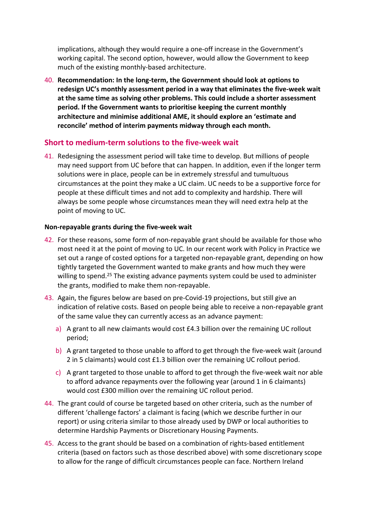implications, although they would require a one-off increase in the Government's working capital. The second option, however, would allow the Government to keep much of the existing monthly-based architecture.

40. **Recommendation: In the long-term, the Government should look at options to redesign UC's monthly assessment period in a way that eliminates the five-week wait at the same time as solving other problems. This could include a shorter assessment period. If the Government wants to prioritise keeping the current monthly architecture and minimise additional AME, it should explore an 'estimate and reconcile' method of interim payments midway through each month.**

## **Short to medium-term solutions to the five-week wait**

41. Redesigning the assessment period will take time to develop. But millions of people may need support from UC before that can happen. In addition, even if the longer term solutions were in place, people can be in extremely stressful and tumultuous circumstances at the point they make a UC claim. UC needs to be a supportive force for people at these difficult times and not add to complexity and hardship. There will always be some people whose circumstances mean they will need extra help at the point of moving to UC.

#### **Non-repayable grants during the five-week wait**

- 42. For these reasons, some form of non-repayable grant should be available for those who most need it at the point of moving to UC. In our recent work with Policy in Practice we set out a range of costed options for a targeted non-repayable grant, depending on how tightly targeted the Government wanted to make grants and how much they were willing to spend.<sup>25</sup> The existing advance payments system could be used to administer the grants, modified to make them non-repayable.
- 43. Again, the figures below are based on pre-Covid-19 projections, but still give an indication of relative costs. Based on people being able to receive a non-repayable grant of the same value they can currently access as an advance payment:
	- a) A grant to all new claimants would cost £4.3 billion over the remaining UC rollout period;
	- b) A grant targeted to those unable to afford to get through the five-week wait (around 2 in 5 claimants) would cost £1.3 billion over the remaining UC rollout period.
	- c) A grant targeted to those unable to afford to get through the five-week wait nor able to afford advance repayments over the following year (around 1 in 6 claimants) would cost £300 million over the remaining UC rollout period.
- 44. The grant could of course be targeted based on other criteria, such as the number of different 'challenge factors' a claimant is facing (which we describe further in our report) or using criteria similar to those already used by DWP or local authorities to determine Hardship Payments or Discretionary Housing Payments.
- 45. Access to the grant should be based on a combination of rights-based entitlement criteria (based on factors such as those described above) with some discretionary scope to allow for the range of difficult circumstances people can face. Northern Ireland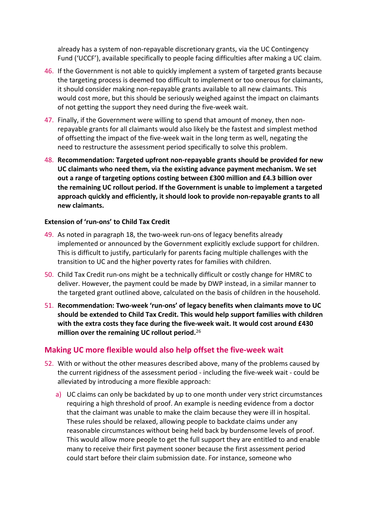already has a system of non-repayable discretionary grants, via the UC Contingency Fund ('UCCF'), available specifically to people facing difficulties after making a UC claim.

- 46. If the Government is not able to quickly implement a system of targeted grants because the targeting process is deemed too difficult to implement or too onerous for claimants, it should consider making non-repayable grants available to all new claimants. This would cost more, but this should be seriously weighed against the impact on claimants of not getting the support they need during the five-week wait.
- 47. Finally, if the Government were willing to spend that amount of money, then nonrepayable grants for all claimants would also likely be the fastest and simplest method of offsetting the impact of the five-week wait in the long term as well, negating the need to restructure the assessment period specifically to solve this problem.
- 48. **Recommendation: Targeted upfront non-repayable grants should be provided for new UC claimants who need them, via the existing advance payment mechanism. We set out a range of targeting options costing between £300 million and £4.3 billion over the remaining UC rollout period. If the Government is unable to implement a targeted approach quickly and efficiently, it should look to provide non-repayable grants to all new claimants.**

#### **Extension of 'run-ons' to Child Tax Credit**

- 49. As noted in paragraph 18, the two-week run-ons of legacy benefits already implemented or announced by the Government explicitly exclude support for children. This is difficult to justify, particularly for parents facing multiple challenges with the transition to UC and the higher poverty rates for families with children.
- 50. Child Tax Credit run-ons might be a technically difficult or costly change for HMRC to deliver. However, the payment could be made by DWP instead, in a similar manner to the targeted grant outlined above, calculated on the basis of children in the household.
- 51. **Recommendation: Two-week 'run-ons' of legacy benefits when claimants move to UC should be extended to Child Tax Credit. This would help support families with children with the extra costs they face during the five-week wait. It would cost around £430 million over the remaining UC rollout period.**<sup>26</sup>

# **Making UC more flexible would also help offset the five-week wait**

- 52. With or without the other measures described above, many of the problems caused by the current rigidness of the assessment period - including the five-week wait - could be alleviated by introducing a more flexible approach:
	- a) UC claims can only be backdated by up to one month under very strict circumstances requiring a high threshold of proof. An example is needing evidence from a doctor that the claimant was unable to make the claim because they were ill in hospital. These rules should be relaxed, allowing people to backdate claims under any reasonable circumstances without being held back by burdensome levels of proof. This would allow more people to get the full support they are entitled to and enable many to receive their first payment sooner because the first assessment period could start before their claim submission date. For instance, someone who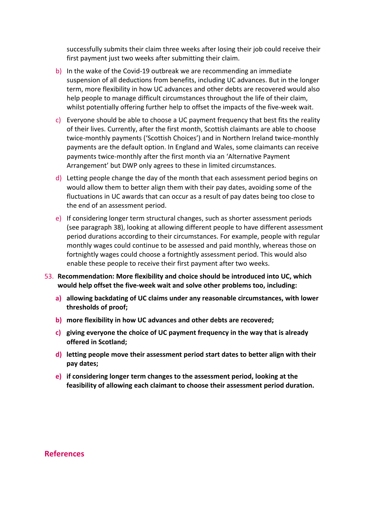successfully submits their claim three weeks after losing their job could receive their first payment just two weeks after submitting their claim.

- b) In the wake of the Covid-19 outbreak we are recommending an immediate suspension of all deductions from benefits, including UC advances. But in the longer term, more flexibility in how UC advances and other debts are recovered would also help people to manage difficult circumstances throughout the life of their claim, whilst potentially offering further help to offset the impacts of the five-week wait.
- c) Everyone should be able to choose a UC payment frequency that best fits the reality of their lives. Currently, after the first month, Scottish claimants are able to choose twice-monthly payments ('Scottish Choices') and in Northern Ireland twice-monthly payments are the default option. In England and Wales, some claimants can receive payments twice-monthly after the first month via an 'Alternative Payment Arrangement' but DWP only agrees to these in limited circumstances.
- d) Letting people change the day of the month that each assessment period begins on would allow them to better align them with their pay dates, avoiding some of the fluctuations in UC awards that can occur as a result of pay dates being too close to the end of an assessment period.
- e) If considering longer term structural changes, such as shorter assessment periods (see paragraph 38), looking at allowing different people to have different assessment period durations according to their circumstances. For example, people with regular monthly wages could continue to be assessed and paid monthly, whereas those on fortnightly wages could choose a fortnightly assessment period. This would also enable these people to receive their first payment after two weeks.
- 53. **Recommendation: More flexibility and choice should be introduced into UC, which would help offset the five-week wait and solve other problems too, including:**
	- **a) allowing backdating of UC claims under any reasonable circumstances, with lower thresholds of proof;**
	- **b) more flexibility in how UC advances and other debts are recovered;**
	- **c) giving everyone the choice of UC payment frequency in the way that is already offered in Scotland;**
	- **d) letting people move their assessment period start dates to better align with their pay dates;**
	- **e) if considering longer term changes to the assessment period, looking at the feasibility of allowing each claimant to choose their assessment period duration.**

**References**